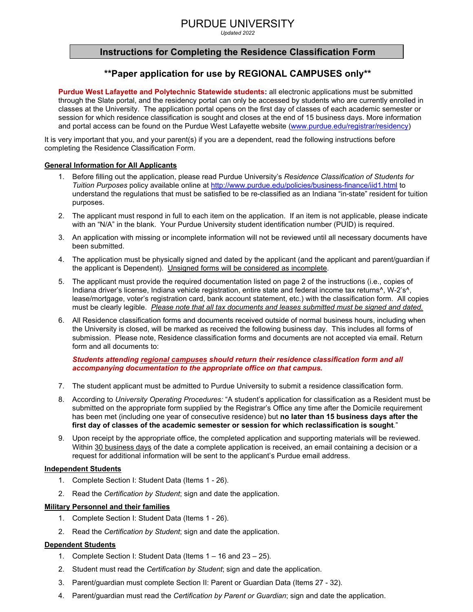# PURDUE UNIVERSITY

*Updated 2022* 

## **Instructions for Completing the Residence Classification Form**

## **\*\*Paper application for use by REGIONAL CAMPUSES only\*\***

**Purdue West Lafayette and Polytechnic Statewide students:** all electronic applications must be submitted through the Slate portal, and the residency portal can only be accessed by students who are currently enrolled in classes at the University. The application portal opens on the first day of classes of each academic semester or session for which residence classification is sought and closes at the end of 15 business days. More information and portal access can be found on the Purdue West Lafayette website [\(www.purdue.edu/registrar/residency\)](http://www.purdue.edu/registrar/residency)

It is very important that you, and your parent(s) if you are a dependent, read the following instructions before completing the Residence Classification Form.

### **General Information for All Applicants**

- 1. Before filling out the application, please read Purdue University's *Residence Classification of Students for Tuition Purposes* policy available online at<http://www.purdue.edu/policies/business-finance/iid1.html> to understand the regulations that must be satisfied to be re-classified as an Indiana "in-state" resident for tuition purposes.
- 2. The applicant must respond in full to each item on the application. If an item is not applicable, please indicate with an "N/A" in the blank. Your Purdue University student identification number (PUID) is required.
- 3. An application with missing or incomplete information will not be reviewed until all necessary documents have been submitted.
- 4. The application must be physically signed and dated by the applicant (and the applicant and parent/guardian if the applicant is Dependent). Unsigned forms will be considered as incomplete.
- 5. The applicant must provide the required documentation listed on page 2 of the instructions (i.e., copies of Indiana driver's license, Indiana vehicle registration, entire state and federal income tax returns<sup>^</sup>, W-2's<sup>^</sup>, lease/mortgage, voter's registration card, bank account statement, etc.) with the classification form. All copies must be clearly legible. *Please note that all tax documents and leases submitted must be signed and dated.*
- 6. All Residence classification forms and documents received outside of normal business hours, including when the University is closed, will be marked as received the following business day. This includes all forms of submission. Please note, Residence classification forms and documents are not accepted via email. Return form and all documents to:

### *Students attending regional campuses should return their residence classification form and all accompanying documentation to the appropriate office on that campus.*

- 7. The student applicant must be admitted to Purdue University to submit a residence classification form.
- 8. According to *University Operating Procedures:* "A student's application for classification as a Resident must be submitted on the appropriate form supplied by the Registrar's Office any time after the Domicile requirement has been met (including one year of consecutive residence) but **no later than 15 business days after the first day of classes of the academic semester or session for which reclassification is sought**."
- 9. Upon receipt by the appropriate office, the completed application and supporting materials will be reviewed. Within 30 business days of the date a complete application is received, an email containing a decision or a request for additional information will be sent to the applicant's Purdue email address.

#### **Independent Students**

- 1. Complete Section I: Student Data (Items 1 26).
- 2. Read the *Certification by Student*; sign and date the application.

#### **Military Personnel and their families**

- 1. Complete Section I: Student Data (Items 1 26).
- 2. Read the *Certification by Student*; sign and date the application.

#### **Dependent Students**

- 1. Complete Section I: Student Data (Items 1 16 and 23 25).
- 2. Student must read the *Certification by Student*; sign and date the application.
- 3. Parent/guardian must complete Section II: Parent or Guardian Data (Items 27 32).
- 4. Parent/guardian must read the *Certification by Parent or Guardian*; sign and date the application.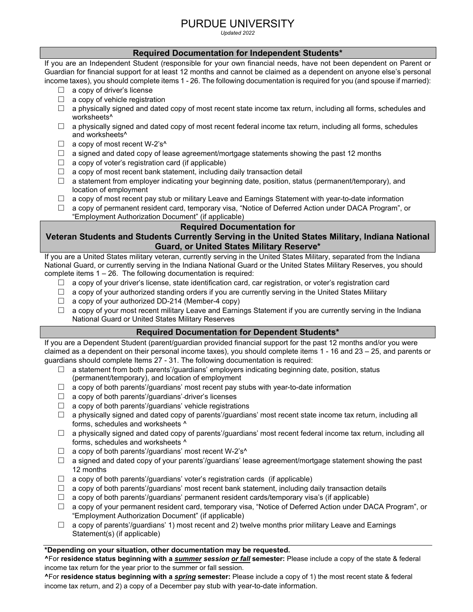# PURDUE UNIVERSITY

*Updated 2022* 

## **Required Documentation for Independent Students\***

If you are an Independent Student (responsible for your own financial needs, have not been dependent on Parent or Guardian for financial support for at least 12 months and cannot be claimed as a dependent on anyone else's personal income taxes), you should complete items 1 - 26. The following documentation is required for you (and spouse if married):

- $\Box$  a copy of driver's license
- $\Box$  a copy of vehicle registration
- $\Box$  a physically signed and dated copy of most recent state income tax return, including all forms, schedules and worksheets^
- $\Box$  a physically signed and dated copy of most recent federal income tax return, including all forms, schedules and worksheets^
- $\Box$  a copy of most recent W-2's<sup> $\land$ </sup>
- $\Box$  a signed and dated copy of lease agreement/mortgage statements showing the past 12 months
- $\Box$  a copy of voter's registration card (if applicable)
- $\Box$  a copy of most recent bank statement, including daily transaction detail
- $\Box$  a statement from employer indicating your beginning date, position, status (permanent/temporary), and location of employment
- $\Box$  a copy of most recent pay stub or military Leave and Earnings Statement with year-to-date information
- $\Box$  a copy of permanent resident card, temporary visa, "Notice of Deferred Action under DACA Program", or "Employment Authorization Document" (if applicable)

## **Required Documentation for**

## **Veteran Students and Students Currently Serving in the United States Military, Indiana National Guard, or United States Military Reserve\***

If you are a United States military veteran, currently serving in the United States Military, separated from the Indiana National Guard, or currently serving in the Indiana National Guard or the United States Military Reserves, you should complete items 1 – 26. The following documentation is required:

- $\Box$  a copy of your driver's license, state identification card, car registration, or voter's registration card
- $\Box$  a copy of your authorized standing orders if you are currently serving in the United States Military
- $\Box$  a copy of your authorized DD-214 (Member-4 copy)
- $\Box$  a copy of your most recent military Leave and Earnings Statement if you are currently serving in the Indiana National Guard or United States Military Reserves

## **Required Documentation for Dependent Students\***

If you are a Dependent Student (parent/guardian provided financial support for the past 12 months and/or you were claimed as a dependent on their personal income taxes), you should complete items 1 - 16 and 23 – 25, and parents or guardians should complete Items 27 - 31. The following documentation is required:

- $\Box$  a statement from both parents'/guardians' employers indicating beginning date, position, status (permanent/temporary), and location of employment
- $\Box$  a copy of both parents'/guardians' most recent pay stubs with year-to-date information
- $\Box$  a copy of both parents'/guardians'-driver's licenses
- $\Box$  a copy of both parents'/guardians' vehicle registrations
- $\Box$  a physically signed and dated copy of parents'/guardians' most recent state income tax return, including all forms, schedules and worksheets ^
- $\Box$  a physically signed and dated copy of parents'/guardians' most recent federal income tax return, including all forms, schedules and worksheets ^
- $\Box$  a copy of both parents'/guardians' most recent W-2's<sup> $\land$ </sup>
- $\Box$  a signed and dated copy of your parents'/guardians' lease agreement/mortgage statement showing the past 12 months
- $\Box$  a copy of both parents'/guardians' voter's registration cards (if applicable)
- $\Box$  a copy of both parents'/guardians' most recent bank statement, including daily transaction details
- $\Box$  a copy of both parents'/guardians' permanent resident cards/temporary visa's (if applicable)
- □ a copy of your permanent resident card, temporary visa, "Notice of Deferred Action under DACA Program", or "Employment Authorization Document" (if applicable)
- $\Box$  a copy of parents'/guardians' 1) most recent and 2) twelve months prior military Leave and Earnings Statement(s) (if applicable)

## **\*Depending on your situation, other documentation may be requested.**

**^**For **residence status beginning with a** *summer session or fall* **semester:** Please include a copy of the state & federal income tax return for the year prior to the summer or fall session.

**^**For **residence status beginning with a** *spring* **semester:** Please include a copy of 1) the most recent state & federal income tax return, and 2) a copy of a December pay stub with year-to-date information.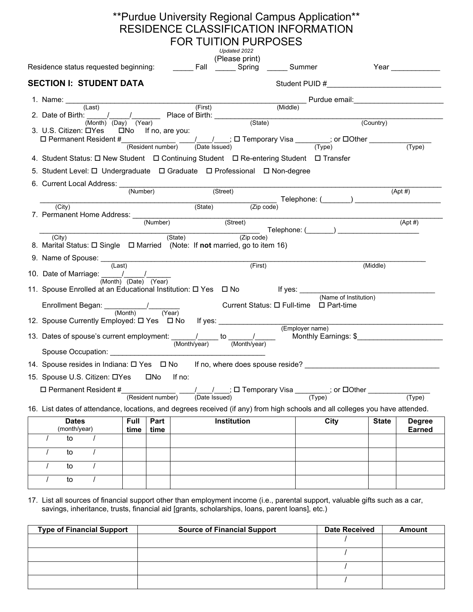|                                                                                                                               |                                                              | ** Purdue University Regional Campus Application**<br>RESIDENCE CLASSIFICATION INFORMATION |                                  |                 |                                                                                                                                                                  |              |                    |
|-------------------------------------------------------------------------------------------------------------------------------|--------------------------------------------------------------|--------------------------------------------------------------------------------------------|----------------------------------|-----------------|------------------------------------------------------------------------------------------------------------------------------------------------------------------|--------------|--------------------|
|                                                                                                                               |                                                              | <b>FOR TUITION PURPOSES</b>                                                                | Updated 2022                     |                 |                                                                                                                                                                  |              |                    |
|                                                                                                                               |                                                              |                                                                                            | (Please print)                   |                 |                                                                                                                                                                  |              |                    |
| Residence status requested beginning: [10] ________ Fall _______ Spring _______ Summer                                        |                                                              |                                                                                            |                                  |                 |                                                                                                                                                                  |              | Year _____________ |
| <b>SECTION I: STUDENT DATA</b>                                                                                                |                                                              |                                                                                            |                                  |                 |                                                                                                                                                                  |              |                    |
| 1. Name: $\frac{(\text{Last})}{(\text{Last})}$ (First) (Middle) (First) (Middle) (Middle) (2. Date of Birth: (Middle) (State) |                                                              |                                                                                            |                                  |                 | Middle)<br>Middle)<br>Middle                                                                                                                                     |              |                    |
|                                                                                                                               |                                                              |                                                                                            |                                  |                 | (Country)                                                                                                                                                        |              |                    |
| 3. U.S. Citizen: □Yes □No If no, are you:                                                                                     |                                                              |                                                                                            |                                  |                 |                                                                                                                                                                  |              |                    |
| $\Box$ Permanent Resident #<br>(Resident number) $\frac{1}{\Box}$ (Date Issued) (Date Issued) (Type)                          |                                                              |                                                                                            |                                  |                 |                                                                                                                                                                  |              |                    |
|                                                                                                                               |                                                              |                                                                                            |                                  |                 |                                                                                                                                                                  |              | (Type)             |
| 4. Student Status: $\Box$ New Student $\Box$ Continuing Student $\Box$ Re-entering Student $\Box$ Transfer                    |                                                              |                                                                                            |                                  |                 |                                                                                                                                                                  |              |                    |
| 5. Student Level: □ Undergraduate □ Graduate □ Professional □ Non-degree                                                      |                                                              |                                                                                            |                                  |                 |                                                                                                                                                                  |              |                    |
| 6. Current Local Address: (Number) (Street)                                                                                   |                                                              |                                                                                            |                                  |                 |                                                                                                                                                                  |              | $(Apt \#)$         |
|                                                                                                                               |                                                              |                                                                                            |                                  |                 | (State) (Zip code) (Zip code)                                                                                                                                    |              |                    |
| (City)                                                                                                                        |                                                              |                                                                                            |                                  |                 |                                                                                                                                                                  |              |                    |
|                                                                                                                               |                                                              |                                                                                            |                                  |                 |                                                                                                                                                                  |              | $(Apt \#)$         |
| (City)                                                                                                                        |                                                              |                                                                                            |                                  |                 | $(State)$ $(Zip code)$ $Zip code)$                                                                                                                               |              |                    |
| 8. Marital Status: □ Single □ Married (Note: If not married, go to item 16)                                                   |                                                              |                                                                                            |                                  |                 |                                                                                                                                                                  |              |                    |
| 9. Name of Spouse: (Last)                                                                                                     |                                                              |                                                                                            | (First)                          |                 |                                                                                                                                                                  | (Middle)     |                    |
| 10. Date of Marriage: $\frac{1}{\sqrt{2}}$                                                                                    |                                                              |                                                                                            |                                  |                 |                                                                                                                                                                  |              |                    |
|                                                                                                                               | $\overline{(Month)}$ $\overline{(Date)}$ $\overline{(Year)}$ |                                                                                            |                                  |                 |                                                                                                                                                                  |              |                    |
|                                                                                                                               |                                                              |                                                                                            |                                  |                 |                                                                                                                                                                  |              |                    |
| Enrollment Began: // Current Status: □ Full-time □ Part-time (Month) (Year)                                                   |                                                              |                                                                                            |                                  |                 |                                                                                                                                                                  |              |                    |
| 12. Spouse Currently Employed: $\square$ Yes $\square$ No If yes: ________________________                                    |                                                              |                                                                                            |                                  |                 |                                                                                                                                                                  |              |                    |
|                                                                                                                               |                                                              |                                                                                            |                                  | (Employer name) |                                                                                                                                                                  |              |                    |
| 13. Dates of spouse's current employment: $\frac{1}{(Month/year)}$ to $\frac{1}{(Month/year)}$ Monthly Earnings: \$           |                                                              |                                                                                            |                                  |                 |                                                                                                                                                                  |              |                    |
| Spouse Occupation: Change                                                                                                     |                                                              |                                                                                            |                                  |                 |                                                                                                                                                                  |              |                    |
| 14. Spouse resides in Indiana: □ Yes □ No                                                                                     |                                                              |                                                                                            | If no, where does spouse reside? |                 |                                                                                                                                                                  |              |                    |
| 15. Spouse U.S. Citizen: DYes                                                                                                 | □No                                                          | If no:                                                                                     |                                  |                 |                                                                                                                                                                  |              |                    |
| $\Box$ Permanent Resident #                                                                                                   |                                                              |                                                                                            |                                  |                 | $\frac{1}{(\text{Resident number})}$ $\frac{1}{(\text{Date issued})}$ $\Box$ Temporary Visa $\frac{1}{(\text{Type})}$ ; or $\Box$ Other $\frac{1}{(\text{Use})}$ |              | (Type)             |
| 16. List dates of attendance, locations, and degrees received (if any) from high schools and all colleges you have attended.  |                                                              |                                                                                            |                                  |                 |                                                                                                                                                                  |              |                    |
| <b>Dates</b>                                                                                                                  | Full<br>Part                                                 |                                                                                            | Institution                      |                 | City                                                                                                                                                             | <b>State</b> | <b>Degree</b>      |
| (month/year)                                                                                                                  | time<br>time                                                 |                                                                                            |                                  |                 |                                                                                                                                                                  |              | <b>Earned</b>      |
| to                                                                                                                            |                                                              |                                                                                            |                                  |                 |                                                                                                                                                                  |              |                    |
| to                                                                                                                            |                                                              |                                                                                            |                                  |                 |                                                                                                                                                                  |              |                    |
| to                                                                                                                            |                                                              |                                                                                            |                                  |                 |                                                                                                                                                                  |              |                    |
| to                                                                                                                            |                                                              |                                                                                            |                                  |                 |                                                                                                                                                                  |              |                    |

17. List all sources of financial support other than employment income (i.e., parental support, valuable gifts such as a car, savings, inheritance, trusts, financial aid [grants, scholarships, loans, parent loans], etc.)

| <b>Type of Financial Support</b> | <b>Source of Financial Support</b> | <b>Date Received</b> | Amount |
|----------------------------------|------------------------------------|----------------------|--------|
|                                  |                                    |                      |        |
|                                  |                                    |                      |        |
|                                  |                                    |                      |        |
|                                  |                                    |                      |        |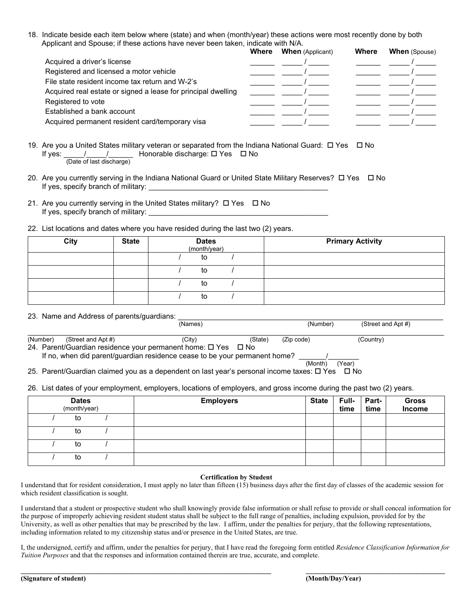18. Indicate beside each item below where (state) and when (month/year) these actions were most recently done by both Applicant and Spouse; if these actions have never been taken, indicate with N/A.

|                                                               | Where | <b>When</b> (Applicant) | <b>Where</b> | <b>When</b> (Spouse) |
|---------------------------------------------------------------|-------|-------------------------|--------------|----------------------|
| Acquired a driver's license                                   |       |                         |              |                      |
| Registered and licensed a motor vehicle                       |       |                         |              |                      |
| File state resident income tax return and W-2's               |       |                         |              |                      |
| Acquired real estate or signed a lease for principal dwelling |       |                         |              |                      |
| Registered to vote                                            |       |                         |              |                      |
| Established a bank account                                    |       |                         |              |                      |
| Acquired permanent resident card/temporary visa               |       |                         |              |                      |

- 19. Are you a United States military veteran or separated from the Indiana National Guard:  $\Box$  Yes  $\Box$  No If yes: \_\_\_\_\_/\_\_\_\_\_/\_\_\_\_\_\_ Honorable discharge: Yes No (Date of last discharge)
- 20. Are you currently serving in the Indiana National Guard or United State Military Reserves?  $\Box$  Yes  $\Box$  No If yes, specify branch of military:
- 21. Are you currently serving in the United States military?  $\Box$  Yes  $\Box$  No If yes, specify branch of military: \_\_\_\_\_\_\_\_\_\_\_\_\_\_\_\_\_\_\_\_\_\_\_\_\_\_\_\_\_\_\_\_\_\_\_\_\_\_\_\_\_\_\_\_
- 22. List locations and dates where you have resided during the last two (2) years.

| City | <b>State</b> | <b>Dates</b><br>(month/year) | <b>Primary Activity</b> |
|------|--------------|------------------------------|-------------------------|
|      |              | to                           |                         |
|      |              | to                           |                         |
|      |              | to                           |                         |
|      |              | to                           |                         |

23. Name and Address of parents/guardians:  $\overline{\phantom{a}}$ 

|          |                    | (Names)                                                                                                               |         | (Number)   | (Street and Apt #) |  |
|----------|--------------------|-----------------------------------------------------------------------------------------------------------------------|---------|------------|--------------------|--|
| (Number) | (Street and Apt #) | (Citv)                                                                                                                | (State) | (Zip code) | (Country)          |  |
|          |                    | 24. Parent/Guardian residence your permanent home: $\square$ Yes $\square$ No                                         |         |            |                    |  |
|          |                    | If no, when did parent/guardian residence cease to be your permanent home?                                            |         |            |                    |  |
|          |                    |                                                                                                                       |         | (Month)    | (Year)             |  |
|          |                    | 25. Parent/Guardian claimed you as a dependent on last year's personal income taxes: $\Box$ Yes $\Box$ No             |         |            |                    |  |
|          |                    |                                                                                                                       |         |            |                    |  |
|          |                    | 26. List dates of your employment, employers, locations of employers, and gross income during the past two (2) years. |         |            |                    |  |

| <b>Dates</b><br>(month/year) | <b>Employers</b> | <b>State</b> | Full- Part-<br>time | time | Gross<br>Income |
|------------------------------|------------------|--------------|---------------------|------|-----------------|
| to                           |                  |              |                     |      |                 |
| to                           |                  |              |                     |      |                 |
| to                           |                  |              |                     |      |                 |
| to                           |                  |              |                     |      |                 |

#### **Certification by Student**

I understand that for resident consideration, I must apply no later than fifteen (15) business days after the first day of classes of the academic session for which resident classification is sought.

I understand that a student or prospective student who shall knowingly provide false information or shall refuse to provide or shall conceal information for the purpose of improperly achieving resident student status shall be subject to the full range of penalties, including expulsion, provided for by the University, as well as other penalties that may be prescribed by the law. I affirm, under the penalties for perjury, that the following representations, including information related to my citizenship status and/or presence in the United States, are true.

I, the undersigned, certify and affirm, under the penalties for perjury, that I have read the foregoing form entitled *Residence Classification Information for Tuition Purposes* and that the responses and information contained therein are true, accurate, and complete.

**\_\_\_\_\_\_\_\_\_\_\_\_\_\_\_\_\_\_\_\_\_\_\_\_\_\_\_\_\_\_\_\_\_\_\_\_\_\_\_\_\_\_\_\_\_\_\_\_\_\_\_\_\_\_\_\_\_\_\_\_\_\_\_\_\_\_\_\_\_\_\_\_ \_\_\_\_\_\_\_\_\_\_\_\_\_\_\_\_\_\_\_\_\_\_\_\_\_\_\_\_\_\_\_\_\_\_\_\_\_\_\_\_**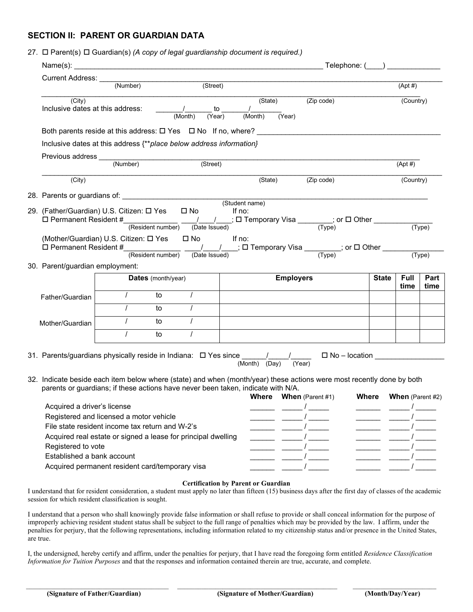## **SECTION II: PARENT OR GUARDIAN DATA**

#### 27. Parent(s) Guardian(s) *(A copy of legal guardianship document is required.)*

|                                                                                                                       | Current Address: (Number) (Street)                                                                                                            |            |                    |          |  |                      |                   |                               |  |                               |             |        |
|-----------------------------------------------------------------------------------------------------------------------|-----------------------------------------------------------------------------------------------------------------------------------------------|------------|--------------------|----------|--|----------------------|-------------------|-------------------------------|--|-------------------------------|-------------|--------|
|                                                                                                                       |                                                                                                                                               |            |                    |          |  |                      |                   |                               |  |                               | $(Apt \#)$  |        |
|                                                                                                                       | (City)<br>Inclusive dates at this address: $\underbrace{\qquad \qquad }_{\text{(Monthly) }}$ to                                               |            |                    |          |  | $\overline{(Month)}$ | (State)<br>(Year) | $(Zip \text{ code})$          |  |                               | (Country)   |        |
|                                                                                                                       | Both parents reside at this address: $\square$ Yes $\square$ No If no, where?                                                                 |            |                    |          |  |                      |                   |                               |  |                               |             |        |
|                                                                                                                       | Inclusive dates at this address {**place below address information}                                                                           |            |                    |          |  |                      |                   |                               |  |                               |             |        |
|                                                                                                                       |                                                                                                                                               |            |                    |          |  |                      |                   |                               |  |                               |             |        |
|                                                                                                                       |                                                                                                                                               |            |                    | (Street) |  |                      |                   |                               |  |                               | $(Apt \#)$  |        |
|                                                                                                                       | (City)                                                                                                                                        |            |                    |          |  | (State)              |                   | (Zip code)                    |  |                               | (Country)   |        |
|                                                                                                                       |                                                                                                                                               |            |                    |          |  |                      |                   |                               |  |                               |             |        |
|                                                                                                                       |                                                                                                                                               |            |                    |          |  |                      |                   |                               |  |                               |             |        |
| 29.  (Father/Guardian) U.S. Citizen: ロ Yes  ロ No                                                                      |                                                                                                                                               |            |                    |          |  | lf no:               |                   |                               |  |                               |             |        |
|                                                                                                                       | $\Box$ Permanent Resident # $\frac{1}{\Box}$ (Resident number) $\frac{1}{\Box}$ (Date Issued) $\Box$ Temporary Visa $\frac{1}{\Box}$ (Type)   |            |                    |          |  |                      |                   |                               |  |                               |             | (Type) |
|                                                                                                                       | (Mother/Guardian) U.S. Citizen: □ Yes □ No If no:                                                                                             |            |                    |          |  |                      |                   |                               |  |                               |             |        |
|                                                                                                                       | $\Box$ Permanent Resident #<br>(Resident number) $\frac{1}{\Box}$ (Date Issued) $\Box$ Temporary Visa $\frac{1}{\Box}$ or $\Box$ Other $\Box$ |            |                    |          |  |                      |                   |                               |  |                               |             |        |
|                                                                                                                       |                                                                                                                                               |            |                    |          |  |                      |                   |                               |  |                               |             | (Type) |
| 30. Parent/guardian employment:                                                                                       |                                                                                                                                               |            |                    |          |  |                      |                   |                               |  |                               |             |        |
|                                                                                                                       |                                                                                                                                               |            | Dates (month/year) |          |  |                      | <b>Employers</b>  |                               |  | <b>State</b>                  | <b>Full</b> | Part   |
|                                                                                                                       |                                                                                                                                               |            | to                 |          |  |                      |                   |                               |  |                               | time        | time   |
| Father/Guardian                                                                                                       |                                                                                                                                               |            |                    |          |  |                      |                   |                               |  |                               |             |        |
|                                                                                                                       |                                                                                                                                               |            | to                 |          |  |                      |                   |                               |  |                               |             |        |
| Mother/Guardian                                                                                                       |                                                                                                                                               | $\sqrt{2}$ | to to              | $\prime$ |  |                      |                   |                               |  |                               |             |        |
|                                                                                                                       |                                                                                                                                               | $\prime$   | to                 | $\prime$ |  |                      |                   |                               |  |                               |             |        |
|                                                                                                                       |                                                                                                                                               |            |                    |          |  |                      |                   |                               |  |                               |             |        |
| 32. Indicate beside each item below where (state) and when (month/year) these actions were most recently done by both | parents or guardians; if these actions have never been taken, indicate with N/A.                                                              |            |                    |          |  |                      |                   |                               |  |                               |             |        |
|                                                                                                                       |                                                                                                                                               |            |                    |          |  |                      |                   | <b>Where When</b> (Parent #1) |  | <b>Where When</b> (Parent #2) |             |        |
|                                                                                                                       | Acquired a driver's license                                                                                                                   |            |                    |          |  |                      |                   |                               |  |                               |             |        |
|                                                                                                                       | Registered and licensed a motor vehicle                                                                                                       |            |                    |          |  |                      |                   |                               |  |                               |             |        |
|                                                                                                                       | File state resident income tax return and W-2's                                                                                               |            |                    |          |  |                      |                   |                               |  |                               |             |        |
|                                                                                                                       | Acquired real estate or signed a lease for principal dwelling<br>Registered to vote                                                           |            |                    |          |  |                      |                   |                               |  |                               |             |        |
|                                                                                                                       |                                                                                                                                               |            |                    |          |  |                      |                   |                               |  |                               |             |        |
|                                                                                                                       |                                                                                                                                               |            |                    |          |  |                      |                   |                               |  |                               |             |        |
|                                                                                                                       | Established a bank account<br>Acquired permanent resident card/temporary visa                                                                 |            |                    |          |  |                      |                   |                               |  |                               |             |        |

#### **Certification by Parent or Guardian**

I understand that for resident consideration, a student must apply no later than fifteen (15) business days after the first day of classes of the academic session for which resident classification is sought.

I understand that a person who shall knowingly provide false information or shall refuse to provide or shall conceal information for the purpose of improperly achieving resident student status shall be subject to the full range of penalties which may be provided by the law. I affirm, under the penalties for perjury, that the following representations, including information related to my citizenship status and/or presence in the United States, are true.

I, the undersigned, hereby certify and affirm, under the penalties for perjury, that I have read the foregoing form entitled *Residence Classification Information for Tuition Purposes* and that the responses and information contained therein are true, accurate, and complete.